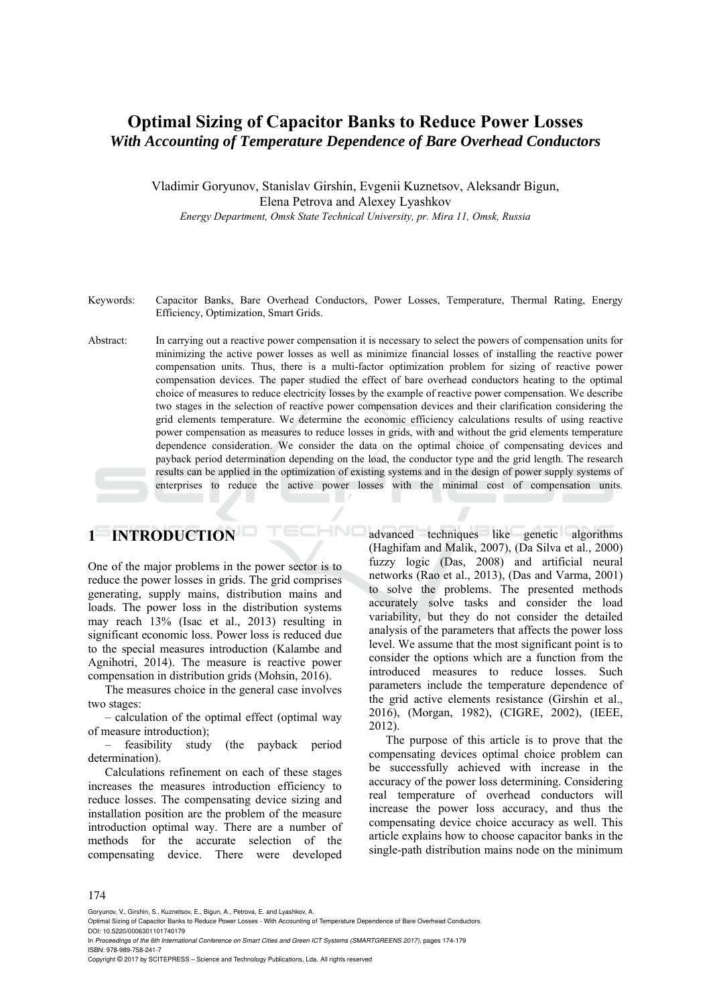### **Optimal Sizing of Capacitor Banks to Reduce Power Losses**  *With Accounting of Temperature Dependence of Bare Overhead Conductors*

Vladimir Goryunov, Stanislav Girshin, Evgenii Kuznetsov, Aleksandr Bigun, Elena Petrova and Alexey Lyashkov *Energy Department, Omsk State Technical University, pr. Mira 11, Omsk, Russia* 

- Keywords: Capacitor Banks, Bare Overhead Conductors, Power Losses, Temperature, Thermal Rating, Energy Efficiency, Optimization, Smart Grids.
- Abstract: In carrying out a reactive power compensation it is necessary to select the powers of compensation units for minimizing the active power losses as well as minimize financial losses of installing the reactive power compensation units. Thus, there is a multi-factor optimization problem for sizing of reactive power compensation devices. The paper studied the effect of bare overhead conductors heating to the optimal choice of measures to reduce electricity losses by the example of reactive power compensation. We describe two stages in the selection of reactive power compensation devices and their clarification considering the grid elements temperature. We determine the economic efficiency calculations results of using reactive power compensation as measures to reduce losses in grids, with and without the grid elements temperature dependence consideration. We consider the data on the optimal choice of compensating devices and payback period determination depending on the load, the conductor type and the grid length. The research results can be applied in the optimization of existing systems and in the design of power supply systems of enterprises to reduce the active power losses with the minimal cost of compensation units.

HNC

# **1 INTRODUCTION**

One of the major problems in the power sector is to reduce the power losses in grids. The grid comprises generating, supply mains, distribution mains and loads. The power loss in the distribution systems may reach 13% (Isac et al., 2013) resulting in significant economic loss. Power loss is reduced due to the special measures introduction (Kalambe and Agnihotri, 2014). The measure is reactive power compensation in distribution grids (Mohsin, 2016).

The measures choice in the general case involves two stages:

– calculation of the optimal effect (optimal way of measure introduction);

– feasibility study (the payback period determination).

Calculations refinement on each of these stages increases the measures introduction efficiency to reduce losses. The compensating device sizing and installation position are the problem of the measure introduction optimal way. There are a number of methods for the accurate selection of the compensating device. There were developed advanced techniques like genetic algorithms (Haghifam and Malik, 2007), (Da Silva et al., 2000) fuzzy logic (Das, 2008) and artificial neural networks (Rao et al., 2013), (Das and Varma, 2001) to solve the problems. The presented methods accurately solve tasks and consider the load variability, but they do not consider the detailed analysis of the parameters that affects the power loss level. We assume that the most significant point is to consider the options which are a function from the introduced measures to reduce losses. Such parameters include the temperature dependence of the grid active elements resistance (Girshin et al., 2016), (Morgan, 1982), (CIGRE, 2002), (IEEE, 2012).

The purpose of this article is to prove that the compensating devices optimal choice problem can be successfully achieved with increase in the accuracy of the power loss determining. Considering real temperature of overhead conductors will increase the power loss accuracy, and thus the compensating device choice accuracy as well. This article explains how to choose capacitor banks in the single-path distribution mains node on the minimum

174

Goryunov, V., Girshin, S., Kuznetsov, E., Bigun, A., Petrova, E. and Lyashkov, A.

DOI: 10.5220/0006301101740179 In *Proceedings of the 6th International Conference on Smart Cities and Green ICT Systems (SMARTGREENS 2017)*, pages 174-179 ISBN: 978-989-758-241-7

Copyright © 2017 by SCITEPRESS – Science and Technology Publications, Lda. All rights reserved

Optimal Sizing of Capacitor Banks to Reduce Power Losses - With Accounting of Temperature Dependence of Bare Overhead Conductors.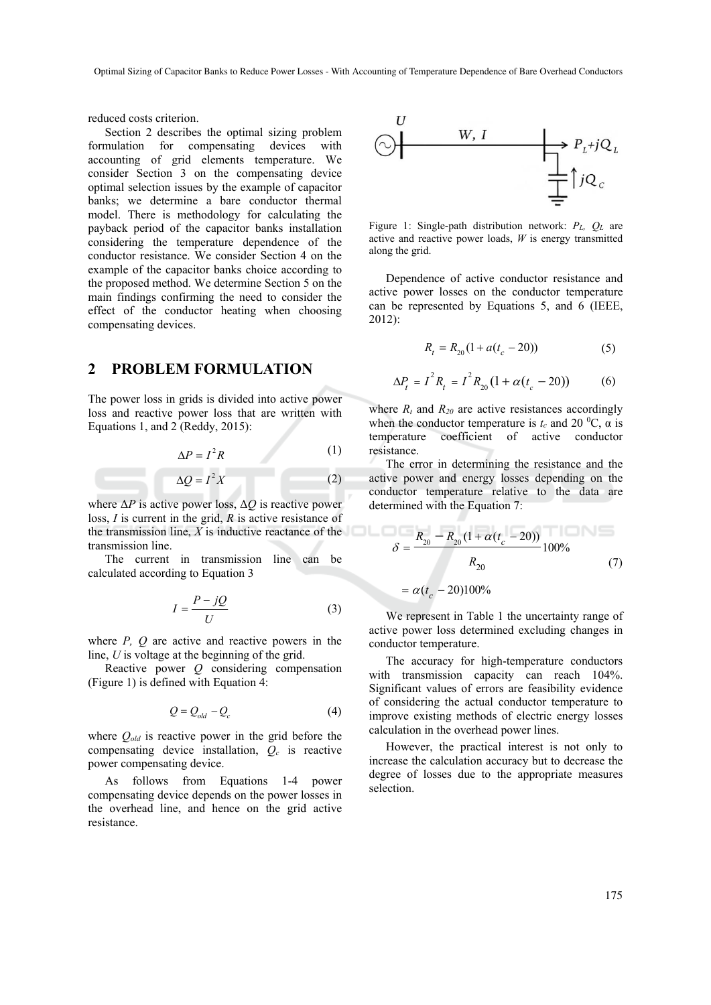reduced costs criterion.

Section 2 describes the optimal sizing problem formulation for compensating devices with accounting of grid elements temperature. We consider Section 3 on the compensating device optimal selection issues by the example of capacitor banks; we determine a bare conductor thermal model. There is methodology for calculating the payback period of the capacitor banks installation considering the temperature dependence of the conductor resistance. We consider Section 4 on the example of the capacitor banks choice according to the proposed method. We determine Section 5 on the main findings confirming the need to consider the effect of the conductor heating when choosing compensating devices.

#### **2 PROBLEM FORMULATION**

The power loss in grids is divided into active power loss and reactive power loss that are written with Equations 1, and 2 (Reddy, 2015):

$$
\Delta P = I^2 R \tag{1}
$$

$$
\Delta Q = I^2 X \tag{2}
$$

where  $\Delta P$  is active power loss,  $\Delta O$  is reactive power loss, *I* is current in the grid, *R* is active resistance of the transmission line, *X* is inductive reactance of the transmission line.

The current in transmission line can be calculated according to Equation 3

$$
I = \frac{P - jQ}{U} \tag{3}
$$

where *P, Q* are active and reactive powers in the line, *U* is voltage at the beginning of the grid.

Reactive power *Q* considering compensation (Figure 1) is defined with Equation 4:

$$
Q = Q_{old} - Q_c \tag{4}
$$

where *Qold* is reactive power in the grid before the compensating device installation,  $Q_c$  is reactive power compensating device.

As follows from Equations 1-4 power compensating device depends on the power losses in the overhead line, and hence on the grid active resistance.



Figure 1: Single-path distribution network: *PL, QL* are active and reactive power loads, *W* is energy transmitted along the grid.

Dependence of active conductor resistance and active power losses on the conductor temperature can be represented by Equations 5, and 6 (IEEE, 2012):

$$
R_t = R_{20} (1 + a(t_c - 20))
$$
 (5)

$$
\Delta P_t = I^2 R_t = I^2 R_{20} (1 + \alpha (t_c - 20))
$$
 (6)

where  $R_t$  and  $R_{20}$  are active resistances accordingly when the conductor temperature is  $t_c$  and 20 <sup>o</sup>C,  $\alpha$  is temperature coefficient of active conductor resistance.

The error in determining the resistance and the active power and energy losses depending on the conductor temperature relative to the data are determined with the Equation 7:

$$
\delta = \frac{R_{20} - R_{20} (1 + \alpha (t_c - 20))}{R_{20}} 100\%
$$
 (7)

$$
= \alpha (t_c - 20)100\%
$$

We represent in Table 1 the uncertainty range of active power loss determined excluding changes in conductor temperature.

The accuracy for high-temperature conductors with transmission capacity can reach 104%. Significant values of errors are feasibility evidence of considering the actual conductor temperature to improve existing methods of electric energy losses calculation in the overhead power lines.

However, the practical interest is not only to increase the calculation accuracy but to decrease the degree of losses due to the appropriate measures selection.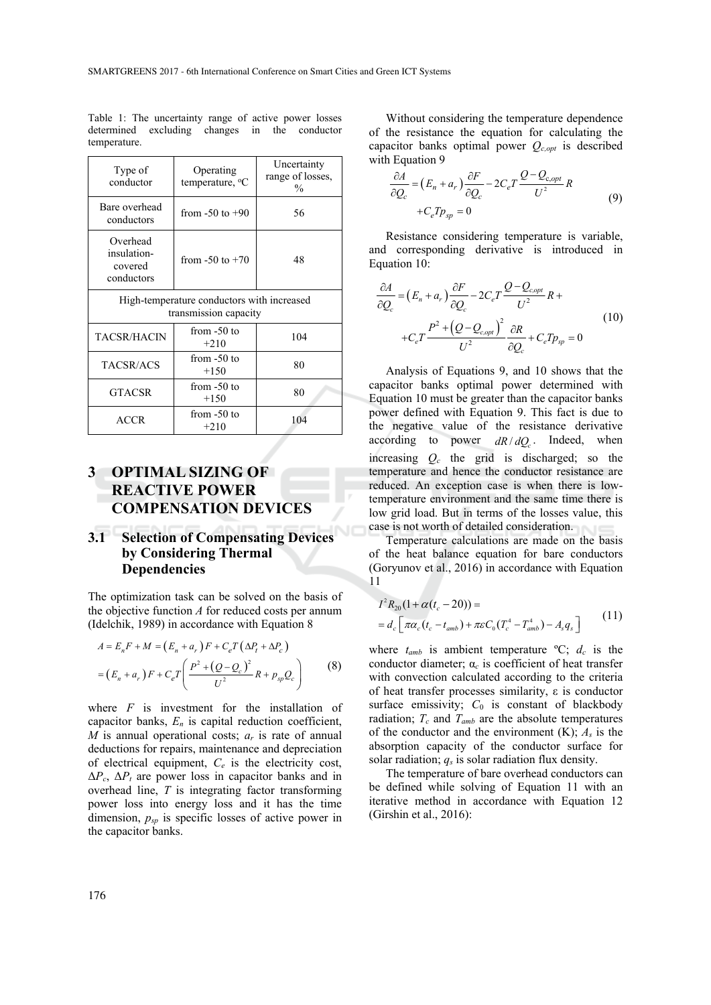| Type of<br>conductor                                                | Operating<br>temperature, <sup>o</sup> C | Uncertainty<br>range of losses,<br>$\frac{0}{0}$ |  |  |  |
|---------------------------------------------------------------------|------------------------------------------|--------------------------------------------------|--|--|--|
| Bare overhead<br>conductors                                         | from $-50$ to $+90$                      | 56                                               |  |  |  |
| Overhead<br>insulation-<br>covered<br>conductors                    | from $-50$ to $+70$                      | 48                                               |  |  |  |
| High-temperature conductors with increased<br>transmission capacity |                                          |                                                  |  |  |  |
| TACSR/HACIN                                                         | from $-50$ to<br>$+210$                  | 104                                              |  |  |  |
| TACSR/ACS                                                           | from $-50$ to<br>$+150$                  | 80                                               |  |  |  |
| <b>GTACSR</b>                                                       | from $-50$ to<br>$+150$                  | 80                                               |  |  |  |
| ACCR                                                                | from -50 to<br>$+210$                    | 104                                              |  |  |  |

Table 1: The uncertainty range of active power losses determined excluding changes in the conductor temperature.

## **3 OPTIMAL SIZING OF REACTIVE POWER COMPENSATION DEVICES**

#### **3.1 Selection of Compensating Devices by Considering Thermal Dependencies**

The optimization task can be solved on the basis of the objective function *A* for reduced costs per annum (Idelchik, 1989) in accordance with Equation 8

$$
A = E_n F + M = (E_n + a_r)F + C_e T (\Delta P_t + \Delta P_c)
$$
  
=  $(E_n + a_r)F + C_e T \left( \frac{P^2 + (Q - Q_c)^2}{U^2} R + p_{sp} Q_c \right)$  (8)

where *F* is investment for the installation of capacitor banks,  $E_n$  is capital reduction coefficient, *M* is annual operational costs; *аr* is rate of annual deductions for repairs, maintenance and depreciation of electrical equipment, *Сe* is the electricity cost,  $\Delta P_c$ ,  $\Delta P_t$  are power loss in capacitor banks and in overhead line, *T* is integrating factor transforming power loss into energy loss and it has the time dimension,  $p_{sp}$  is specific losses of active power in the capacitor banks.

Without considering the temperature dependence of the resistance the equation for calculating the capacitor banks optimal power *Qc,opt* is described with Equation 9

$$
\frac{\partial A}{\partial Q_c} = (E_n + a_r) \frac{\partial F}{\partial Q_c} - 2C_e T \frac{Q - Q_{c,opt}}{U^2} R
$$
  
+ $C_e T p_{sp} = 0$  (9)

Resistance considering temperature is variable, and corresponding derivative is introduced in Equation 10:

$$
\frac{\partial A}{\partial Q_c} = (E_n + a_r) \frac{\partial F}{\partial Q_c} - 2C_e T \frac{Q - Q_{c, opt}}{U^2} R +
$$
  
+
$$
C_e T \frac{P^2 + (Q - Q_{c, opt})^2}{U^2} \frac{\partial R}{\partial Q_c} + C_e T p_{sp} = 0
$$
(10)

Analysis of Equations 9, and 10 shows that the capacitor banks optimal power determined with Equation 10 must be greater than the capacitor banks power defined with Equation 9. This fact is due to the negative value of the resistance derivative according to power  $dR/dQ$ . Indeed, when increasing *Qc* the grid is discharged; so the temperature and hence the conductor resistance are reduced. An exception case is when there is lowtemperature environment and the same time there is low grid load. But in terms of the losses value, this case is not worth of detailed consideration.

Temperature calculations are made on the basis of the heat balance equation for bare conductors (Goryunov et al., 2016) in accordance with Equation 11

$$
I^{2} R_{20} (1 + \alpha (t_{c} - 20)) =
$$
  
=  $d_{c} \left[ \pi \alpha_{c} (t_{c} - t_{amb}) + \pi \varepsilon C_{0} (T_{c}^{4} - T_{amb}^{4}) - A_{s} q_{s} \right]$  (11)

where  $t_{amb}$  is ambient temperature  ${}^{\circ}C$ ;  $d_c$  is the conductor diameter; α*c* is coefficient of heat transfer with convection calculated according to the criteria of heat transfer processes similarity, ε is conductor surface emissivity;  $C_0$  is constant of blackbody radiation;  $T_c$  and  $T_{amb}$  are the absolute temperatures of the conductor and the environment  $(K)$ ;  $A_s$  is the absorption capacity of the conductor surface for solar radiation;  $q_s$  is solar radiation flux density.

The temperature of bare overhead conductors can be defined while solving of Equation 11 with an iterative method in accordance with Equation 12 (Girshin et al., 2016):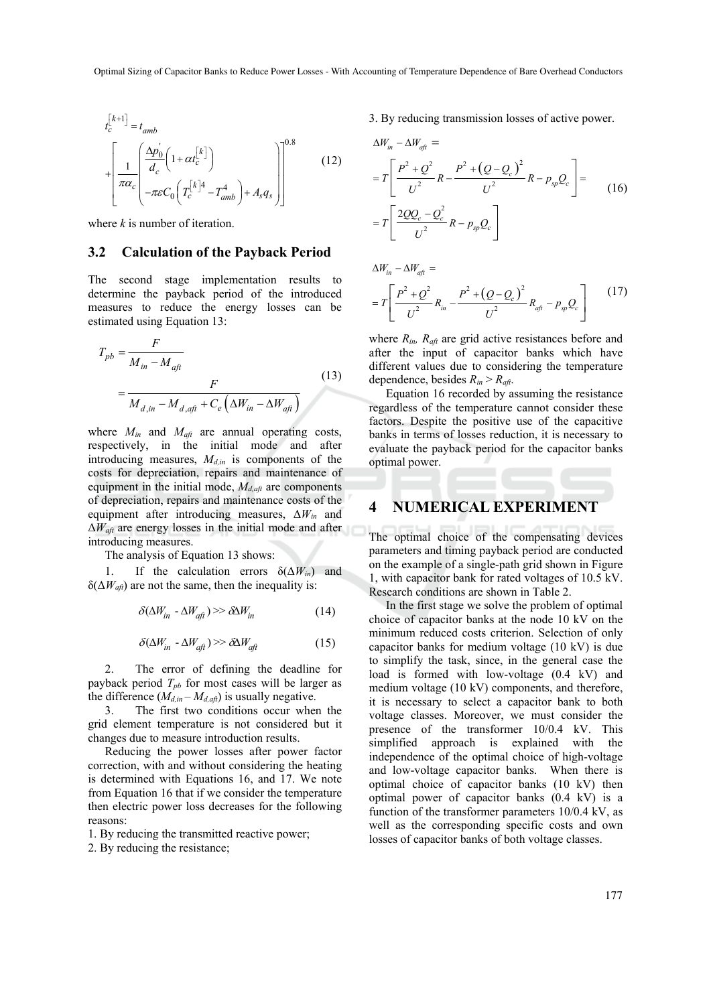$$
t_c^{[k+1]} = t_{amb}
$$
  
+ 
$$
\left[ \frac{1}{\pi \alpha_c} \left( \frac{\Delta p_0^{\prime}}{d_c} \left( 1 + \alpha t_c^{[k]} \right) - \pi \epsilon C_0 \left( T_c^{[k]} \right)^4 - T_{amb}^4 \right) + A_s q_s \right] \right]^{0.8}
$$
 (12)

where *k* is number of iteration.

#### **3.2 Calculation of the Payback Period**

The second stage implementation results to determine the payback period of the introduced measures to reduce the energy losses can be estimated using Equation 13:

$$
T_{pb} = \frac{F}{M_{in} - M_{aft}}
$$
  
= 
$$
\frac{F}{M_{d,in} - M_{d,aft} + C_e \left(\Delta W_{in} - \Delta W_{aft}\right)}
$$
(13)

where *Min* and *Maft* are annual operating costs, respectively, in the initial mode and after introducing measures,  $M_{d,in}$  is components of the costs for depreciation, repairs and maintenance of equipment in the initial mode,  $M_{d, a\!f}$  are components of depreciation, repairs and maintenance costs of the equipment after introducing measures, Δ*Win* and  $\Delta W_{\text{aft}}$  are energy losses in the initial mode and after introducing measures.

The analysis of Equation 13 shows:

1. If the calculation errors  $\delta(\Delta W_{in})$  and  $\delta(\Delta W_{\text{aff}})$  are not the same, then the inequality is:

$$
\delta(\Delta W_{in} - \Delta W_{\text{qft}}) \gg \delta \Delta W_{in} \tag{14}
$$

$$
\delta(\Delta W_{in} - \Delta W_{\text{aft}}) \gg \delta \Delta W_{\text{aft}} \tag{15}
$$

2. The error of defining the deadline for payback period  $T_{pb}$  for most cases will be larger as the difference  $(M_{d,in} - M_{d,afi})$  is usually negative.

3. The first two conditions occur when the grid element temperature is not considered but it changes due to measure introduction results.

Reducing the power losses after power factor correction, with and without considering the heating is determined with Equations 16, and 17. We note from Equation 16 that if we consider the temperature then electric power loss decreases for the following reasons:

1. By reducing the transmitted reactive power;

2. By reducing the resistance;

3. By reducing transmission losses of active power.

$$
\Delta W_{in} - \Delta W_{q\bar{q}} =
$$
  
=  $T \left[ \frac{P^2 + Q^2}{U^2} R - \frac{P^2 + (Q - Q_c)^2}{U^2} R - p_{sp} Q_c \right] =$   
=  $T \left[ \frac{2QQ_c - Q_c^2}{U^2} R - p_{sp} Q_c \right]$  (16)

$$
\Delta W_{in} - \Delta W_{\text{qft}} =
$$
  
=  $T \left[ \frac{P^2 + Q^2}{U^2} R_{in} - \frac{P^2 + (Q - Q_c)^2}{U^2} R_{\text{qft}} - p_{sp} Q_c \right]$  (17)

where  $R_{in}$ ,  $R_{aft}$  are grid active resistances before and after the input of capacitor banks which have different values due to considering the temperature dependence, besides  $R_{in} > R_{at}$ .

Equation 16 recorded by assuming the resistance regardless of the temperature cannot consider these factors. Despite the positive use of the capacitive banks in terms of losses reduction, it is necessary to evaluate the payback period for the capacitor banks optimal power.

#### **4 NUMERICAL EXPERIMENT**

The optimal choice of the compensating devices parameters and timing payback period are conducted on the example of a single-path grid shown in Figure 1, with capacitor bank for rated voltages of 10.5 kV. Research conditions are shown in Table 2.

In the first stage we solve the problem of optimal choice of capacitor banks at the node 10 kV on the minimum reduced costs criterion. Selection of only capacitor banks for medium voltage (10 kV) is due to simplify the task, since, in the general case the load is formed with low-voltage (0.4 kV) and medium voltage (10 kV) components, and therefore, it is necessary to select a capacitor bank to both voltage classes. Moreover, we must consider the presence of the transformer 10/0.4 kV. This simplified approach is explained with the independence of the optimal choice of high-voltage and low-voltage capacitor banks. When there is optimal choice of capacitor banks (10 kV) then optimal power of capacitor banks (0.4 kV) is a function of the transformer parameters 10/0.4 kV, as well as the corresponding specific costs and own losses of capacitor banks of both voltage classes.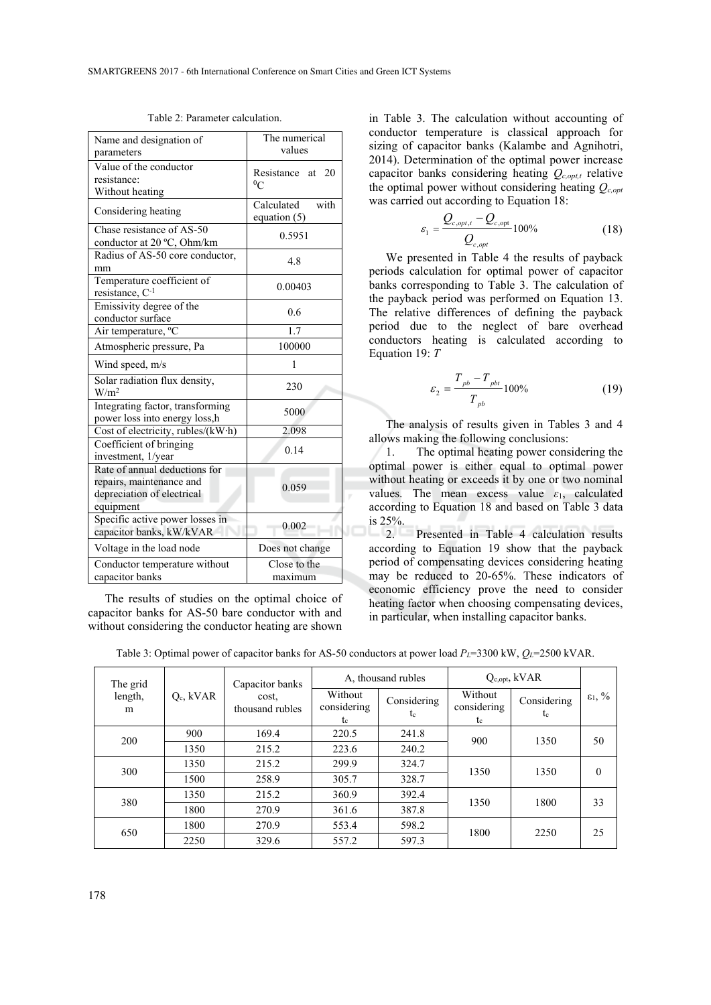| Name and designation of<br>parameters                                                                | The numerical<br>values              |  |  |
|------------------------------------------------------------------------------------------------------|--------------------------------------|--|--|
| Value of the conductor<br>resistance:<br>Without heating                                             | at $20$<br>Resistance<br>$^{0}C$     |  |  |
| Considering heating                                                                                  | with<br>Calculated<br>equation $(5)$ |  |  |
| Chase resistance of AS-50<br>conductor at 20 °C, Ohm/km                                              | 0.5951                               |  |  |
| Radius of AS-50 core conductor,<br>mm                                                                | 4.8                                  |  |  |
| Temperature coefficient of<br>resistance, C-1                                                        | 0.00403                              |  |  |
| Emissivity degree of the<br>conductor surface                                                        | 0.6                                  |  |  |
| Air temperature, <sup>o</sup> C                                                                      | 1.7                                  |  |  |
| Atmospheric pressure, Pa                                                                             | 100000                               |  |  |
| Wind speed, m/s                                                                                      | 1                                    |  |  |
| Solar radiation flux density,<br>W/m <sup>2</sup>                                                    | 230                                  |  |  |
| Integrating factor, transforming<br>power loss into energy loss,h                                    | 5000                                 |  |  |
| Cost of electricity, rubles/(kW·h)                                                                   | 2.098                                |  |  |
| Coefficient of bringing<br>investment, 1/year                                                        | 0.14                                 |  |  |
| Rate of annual deductions for<br>repairs, maintenance and<br>depreciation of electrical<br>equipment | 0.059                                |  |  |
| Specific active power losses in<br>capacitor banks, kW/kVAR                                          | 0.002                                |  |  |
| Voltage in the load node                                                                             | Does not change                      |  |  |
| Conductor temperature without<br>capacitor banks                                                     | Close to the<br>maximum              |  |  |

Table 2: Parameter calculation.

The results of studies on the optimal choice of capacitor banks for AS-50 bare conductor with and without considering the conductor heating are shown

in Table 3. The calculation without accounting of conductor temperature is classical approach for sizing of capacitor banks (Kalambe and Agnihotri, 2014). Determination of the optimal power increase capacitor banks considering heating  $Q_{c,out}$  relative the optimal power without considering heating *Qc,opt* was carried out according to Equation 18:

$$
\varepsilon_1 = \frac{Q_{c,opt,t} - Q_{c,opt}}{Q_{c,opt}} 100\%
$$
\n(18)

We presented in Table 4 the results of payback periods calculation for optimal power of capacitor banks corresponding to Table 3. The calculation of the payback period was performed on Equation 13. The relative differences of defining the payback period due to the neglect of bare overhead conductors heating is calculated according to Equation 19: *T*

$$
\varepsilon_2 = \frac{T_{pb} - T_{pbt}}{T_{pb}} 100\% \tag{19}
$$

The analysis of results given in Tables 3 and 4 allows making the following conclusions:

1. The optimal heating power considering the optimal power is either equal to optimal power without heating or exceeds it by one or two nominal values. The mean excess value  $\varepsilon_1$ , calculated according to Equation 18 and based on Table 3 data is 25%.

2. Presented in Table 4 calculation results according to Equation 19 show that the payback period of compensating devices considering heating may be reduced to 20-65%. These indicators of economic efficiency prove the need to consider heating factor when choosing compensating devices, in particular, when installing capacitor banks.

Table 3: Optimal power of capacitor banks for AS-50 conductors at power load  $P_L$ =3300 kW,  $Q_L$ =2500 kVAR.

| The grid<br>length,<br>m |                | Capacitor banks          | A, thousand rubles              |                   | $Q_{c, opt}$ , kVAR          |                   |                              |
|--------------------------|----------------|--------------------------|---------------------------------|-------------------|------------------------------|-------------------|------------------------------|
|                          | $Q_c$ , $kVAR$ | cost,<br>thousand rubles | Without<br>considering<br>$t_c$ | Considering<br>tc | Without<br>considering<br>tc | Considering<br>tc | $\varepsilon_1, \frac{9}{6}$ |
| 200                      | 900            | 169.4                    | 220.5                           | 241.8             | 900                          | 1350              | 50                           |
|                          | 1350           | 215.2                    | 223.6                           | 240.2             |                              |                   |                              |
| 300                      | 1350           | 215.2                    | 299.9                           | 324.7             | 1350                         | 1350              | $\theta$                     |
|                          | 1500           | 258.9                    | 305.7                           | 328.7             |                              |                   |                              |
| 380                      | 1350           | 215.2                    | 360.9                           | 392.4             | 1350                         | 1800              | 33                           |
|                          | 1800           | 270.9                    | 361.6                           | 387.8             |                              |                   |                              |
| 650                      | 1800           | 270.9                    | 553.4                           | 598.2             | 1800                         | 2250              | 25                           |
|                          | 2250           | 329.6                    | 557.2                           | 597.3             |                              |                   |                              |